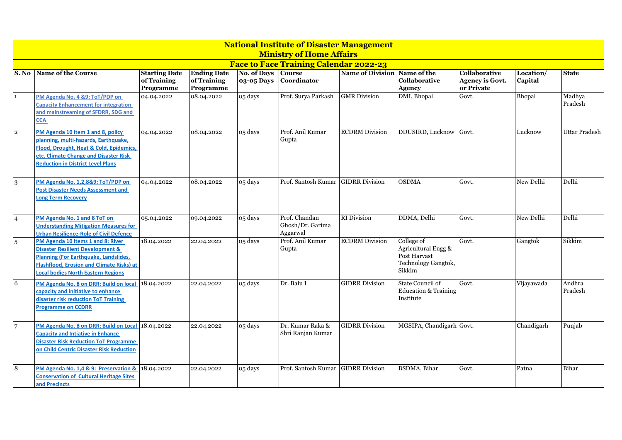|                  | <b>National Institute of Disaster Management</b>                                                                                                                                                                                  |                                                  |                                                |                           |                                               |                         |                                                                                    |                                                       |                      |                      |  |  |  |
|------------------|-----------------------------------------------------------------------------------------------------------------------------------------------------------------------------------------------------------------------------------|--------------------------------------------------|------------------------------------------------|---------------------------|-----------------------------------------------|-------------------------|------------------------------------------------------------------------------------|-------------------------------------------------------|----------------------|----------------------|--|--|--|
|                  |                                                                                                                                                                                                                                   |                                                  |                                                |                           | <b>Ministry of Home Affairs</b>               |                         |                                                                                    |                                                       |                      |                      |  |  |  |
|                  |                                                                                                                                                                                                                                   |                                                  |                                                |                           | <b>Face to Face Training Calendar 2022-23</b> |                         |                                                                                    |                                                       |                      |                      |  |  |  |
| S. No            | Name of the Course                                                                                                                                                                                                                | <b>Starting Date</b><br>of Training<br>Programme | <b>Ending Date</b><br>of Training<br>Programme | No. of Days<br>03-05 Days | <b>Course</b><br>Coordinator                  | <b>Name of Division</b> | Name of the<br>Collaborative<br><b>Agency</b>                                      | Collaborative<br><b>Agency is Govt.</b><br>or Private | Location/<br>Capital | <b>State</b>         |  |  |  |
| $\mathbf{1}$     | PM Agenda No. 4 &9: ToT/PDP on<br><b>Capacity Enhancement for integration</b><br>and mainstreaming of SFDRR, SDG and<br><b>CCA</b>                                                                                                | 04.04.2022                                       | 08.04.2022                                     | 05 days                   | Prof. Surya Parkash                           | <b>GMR</b> Division     | DMI, Bhopal                                                                        | Govt.                                                 | Bhopal               | Madhya<br>Pradesh    |  |  |  |
| $\overline{2}$   | PM Agenda 10 item 1 and 8, policy<br>planning, multi-hazards, Earthquake,<br>Flood, Drought, Heat & Cold, Epidemics,<br>etc. Climate Change and Disaster Risk<br><b>Reduction in District Level Plans</b>                         | 04.04.2022                                       | 08.04.2022                                     | 05 days                   | Prof. Anil Kumar<br>Gupta                     | <b>ECDRM</b> Division   | DDUSIRD, Lucknow                                                                   | Govt.                                                 | Lucknow              | <b>Uttar Pradesh</b> |  |  |  |
| $\boldsymbol{3}$ | PM Agenda No. 1,2,8&9: ToT/PDP on<br><b>Post Disaster Needs Assessment and</b><br>Long Term Recovery                                                                                                                              | 04.04.2022                                       | 08.04.2022                                     | 05 days                   | Prof. Santosh Kumar                           | <b>GIDRR</b> Division   | <b>OSDMA</b>                                                                       | Govt.                                                 | New Delhi            | Delhi                |  |  |  |
| $\overline{4}$   | PM Agenda No. 1 and 8 ToT on<br><b>Understanding Mitigation Measures for</b><br><b>Urban Resilience-Role of Civil Defence</b>                                                                                                     | 05.04.2022                                       | 09.04.2022                                     | 05 days                   | Prof. Chandan<br>Ghosh/Dr. Garima<br>Aggarwal | <b>RI</b> Division      | DDMA, Delhi                                                                        | Govt.                                                 | New Delhi            | Delhi                |  |  |  |
| $\overline{5}$   | PM Agenda 10 items 1 and 8: River<br><b>Disaster Resilient Development &amp;</b><br><b>Planning (For Earthquake, Landslides,</b><br><b>Flashflood, Erosion and Climate Risks) at</b><br><b>Local bodies North Eastern Regions</b> | 18.04.2022                                       | 22.04.2022                                     | 05 days                   | Prof. Anil Kumar<br>Gupta                     | <b>ECDRM</b> Division   | College of<br>Agricultural Engg &<br>Post Harvast<br>Technology Gangtok,<br>Sikkim | Govt.                                                 | Gangtok              | Sikkim               |  |  |  |
| 6                | PM Agenda No. 8 on DRR: Build on local 18.04.2022<br>capacity and initiative to enhance<br>disaster risk reduction ToT Training<br><b>Programme on CCDRR</b>                                                                      |                                                  | 22.04.2022                                     | 05 days                   | Dr. Balu I                                    | <b>GIDRR</b> Division   | State Council of<br><b>Education &amp; Training</b><br>Institute                   | Govt.                                                 | Vijayawada           | Andhra<br>Pradesh    |  |  |  |
| $\overline{7}$   | PM Agenda No. 8 on DRR: Build on Local 18.04.2022<br><b>Capacity and Intiative in Enhance</b><br><b>Disaster Risk Reduction ToT Programme</b><br>on Child Centric Disaster Risk Reduction                                         |                                                  | 22.04.2022                                     | 05 days                   | Dr. Kumar Raka &<br>Shri Ranjan Kumar         | <b>GIDRR Division</b>   | MGSIPA, Chandigarh Govt.                                                           |                                                       | Chandigarh           | Punjab               |  |  |  |
| $\overline{8}$   | PM Agenda No. 1,4 & 9: Preservation & 18.04.2022<br><b>Conservation of Cultural Heritage Sites</b><br>and Precincts                                                                                                               |                                                  | 22.04.2022                                     | 05 days                   | Prof. Santosh Kumar GIDRR Division            |                         | BSDMA, Bihar                                                                       | Govt.                                                 | Patna                | Bihar                |  |  |  |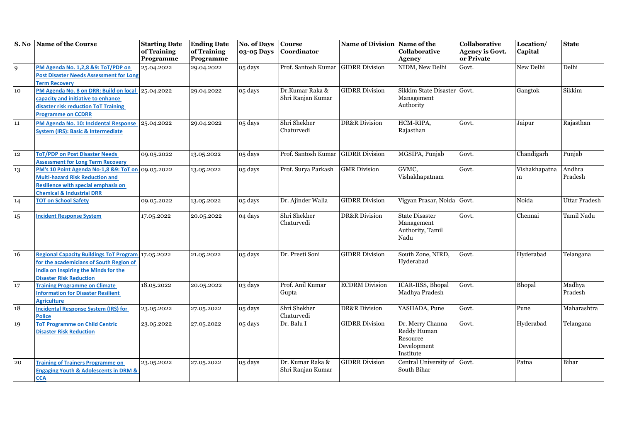|                | S. No Name of the Course                                                                                                                                                          | <b>Starting Date</b><br>of Training<br>Programme | <b>Ending Date</b><br>of Training<br>Programme | <b>No. of Days</b><br>03-05 Days | <b>Course</b><br>Coordinator          | Name of Division Name of the | <b>Collaborative</b><br><b>Agency</b>                                   | Collaborative<br><b>Agency is Govt.</b><br>or Private | Location/<br>Capital | <b>State</b>      |
|----------------|-----------------------------------------------------------------------------------------------------------------------------------------------------------------------------------|--------------------------------------------------|------------------------------------------------|----------------------------------|---------------------------------------|------------------------------|-------------------------------------------------------------------------|-------------------------------------------------------|----------------------|-------------------|
| $\overline{9}$ | PM Agenda No. 1,2,8 &9: ToT/PDP on<br><b>Post Disaster Needs Assessment for Long</b><br><b>Term Recovery</b>                                                                      | 25.04.2022                                       | 29.04.2022                                     | 05 days                          | Prof. Santosh Kumar                   | <b>GIDRR Division</b>        | NIDM, New Delhi                                                         | Govt.                                                 | New Delhi            | Delhi             |
| 10             | PM Agenda No. 8 on DRR: Build on local<br>capacity and initiative to enhance<br>disaster risk reduction ToT Training<br><b>Programme on CCDRR</b>                                 | 25.04.2022                                       | 29.04.2022                                     | 05 days                          | Dr.Kumar Raka &<br>Shri Ranjan Kumar  | <b>GIDRR Division</b>        | Sikkim State Disaster Govt.<br>Management<br>Authority                  |                                                       | Gangtok              | Sikkim            |
| 11             | PM Agenda No. 10: Incidental Response<br><b>System (IRS): Basic &amp; Intermediate</b>                                                                                            | 25.04.2022                                       | 29.04.2022                                     | 05 days                          | Shri Shekher<br>Chaturvedi            | <b>DR&amp;R</b> Division     | HCM-RIPA,<br>Rajasthan                                                  | Govt.                                                 | Jaipur               | Rajasthan         |
| 12             | <b>ToT/PDP on Post Disaster Needs</b><br><b>Assessment for Long Term Recovery</b>                                                                                                 | 09.05.2022                                       | 13.05.2022                                     | 05 days                          | Prof. Santosh Kumar                   | <b>GIDRR Division</b>        | MGSIPA, Punjab                                                          | Govt.                                                 | Chandigarh           | Punjab            |
| 13             | PM's 10 Point Agenda No-1,8 &9: ToT on 09.05.2022<br><b>Multi-hazard Risk Reduction and</b><br><b>Resilience with special emphasis on</b><br><b>Chemical &amp; Industrial DRR</b> |                                                  | 13.05.2022                                     | 05 days                          | Prof. Surya Parkash                   | <b>GMR</b> Division          | GVMC,<br>Vishakhapatnam                                                 | Govt.                                                 | Vishakhapatna<br>m   | Andhra<br>Pradesh |
| 14             | <b>TOT on School Safety</b>                                                                                                                                                       | 09.05.2022                                       | 13.05.2022                                     | 05 days                          | Dr. Ajinder Walia                     | <b>GIDRR</b> Division        | Vigyan Prasar, Noida                                                    | Govt.                                                 | Noida                | Uttar Pradesh     |
| 15             | <b>Incident Response System</b>                                                                                                                                                   | 17.05.2022                                       | 20.05.2022                                     | 04 days                          | Shri Shekher<br>Chaturvedi            | <b>DR&amp;R</b> Division     | <b>State Disaster</b><br>Management<br>Authority, Tamil<br>Nadu         | Govt.                                                 | Chennai              | Tamil Nadu        |
| 16             | Regional Capacity Buildings ToT Program 17.05.2022<br>for the academicians of South Region of<br><b>India on Inspiring the Minds for the</b><br><b>Disaster Risk Reduction</b>    |                                                  | 21.05.2022                                     | 05 days                          | Dr. Preeti Soni                       | <b>GIDRR</b> Division        | South Zone, NIRD,<br>Hyderabad                                          | Govt.                                                 | Hyderabad            | Telangana         |
| 17             | <b>Training Programme on Climate</b><br><b>Information for Disaster Resilient</b><br><b>Agriculture</b>                                                                           | 18.05.2022                                       | 20.05.2022                                     | 03 days                          | Prof. Anil Kumar<br>Gupta             | <b>ECDRM</b> Division        | ICAR-IISS, Bhopal<br>Madhya Pradesh                                     | Govt.                                                 | Bhopal               | Madhya<br>Pradesh |
| 18             | <b>Incidental Response System (IRS) for</b><br><b>Police</b>                                                                                                                      | 23.05.2022                                       | 27.05.2022                                     | 05 days                          | Shri Shekher<br>Chaturvedi            | <b>DR&amp;R</b> Division     | YASHADA, Pune                                                           | Govt.                                                 | Pune                 | Maharashtra       |
| 19             | <b>ToT Programme on Child Centric</b><br><b>Disaster Risk Reduction</b>                                                                                                           | 23.05.2022                                       | 27.05.2022                                     | 05 days                          | Dr. Balu I                            | <b>GIDRR Division</b>        | Dr. Merry Channa<br>Reddy Human<br>Resource<br>Development<br>Institute | Govt.                                                 | Hyderabad            | Telangana         |
| 20             | <b>Training of Trainers Programme on</b><br><b>Engaging Youth &amp; Adolescents in DRM &amp;</b><br><b>CCA</b>                                                                    | 23.05.2022                                       | 27.05.2022                                     | 05 days                          | Dr. Kumar Raka &<br>Shri Ranjan Kumar | <b>GIDRR Division</b>        | Central University of<br>South Bihar                                    | Govt.                                                 | Patna                | Bihar             |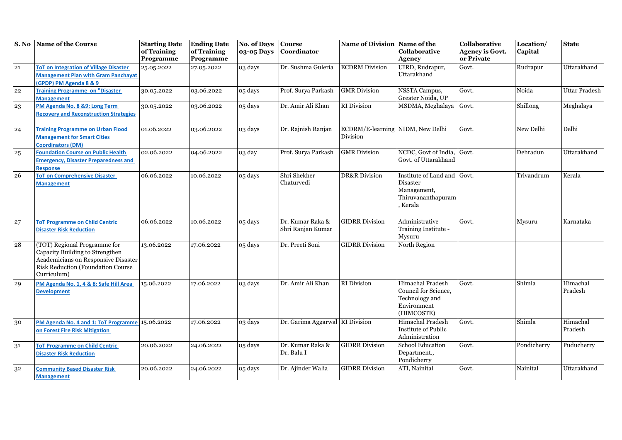| $\overline{\mathbf{S}}$ . No | <b>Name of the Course</b>                       | <b>Starting Date</b><br>of Training | <b>Ending Date</b><br>of Training | No. of Days<br>03-05 Days | <b>Course</b><br>Coordinator    | Name of Division Name of the     | <b>Collaborative</b>              | Collaborative<br><b>Agency is Govt.</b> | Location/<br>Capital | <b>State</b>         |
|------------------------------|-------------------------------------------------|-------------------------------------|-----------------------------------|---------------------------|---------------------------------|----------------------------------|-----------------------------------|-----------------------------------------|----------------------|----------------------|
|                              |                                                 | Programme                           | Programme                         |                           |                                 |                                  | <b>Agency</b>                     | or Private                              |                      |                      |
| 21                           | <b>ToT on Integration of Village Disaster</b>   | 25.05.2022                          | 27.05.2022                        | 03 days                   | Dr. Sushma Guleria              | <b>ECDRM</b> Division            | UIRD, Rudrapur,                   | Govt.                                   | Rudrapur             | Uttarakhand          |
|                              | <b>Management Plan with Gram Panchayat</b>      |                                     |                                   |                           |                                 |                                  | Uttarakhand                       |                                         |                      |                      |
|                              | (GPDP) PM Agenda 8 & 9                          |                                     |                                   |                           |                                 |                                  |                                   |                                         |                      |                      |
| 22                           | <b>Training Programme on "Disaster</b>          | 30.05.2022                          | 03.06.2022                        | 05 days                   | Prof. Surya Parkash             | <b>GMR</b> Division              | NSSTA Campus,                     | Govt.                                   | Noida                | <b>Uttar Pradesh</b> |
|                              | <b>Management</b>                               |                                     |                                   |                           |                                 |                                  | Greater Noida, UP                 |                                         |                      |                      |
| 23                           | PM Agenda No. 8 &9: Long Term                   | 30.05.2022                          | 03.06.2022                        | 05 days                   | Dr. Amir Ali Khan               | <b>RI</b> Division               | MSDMA, Meghalaya                  | Govt.                                   | Shillong             | Meghalaya            |
|                              | <b>Recovery and Reconstruction Strategies</b>   |                                     |                                   |                           |                                 |                                  |                                   |                                         |                      |                      |
| 24                           | <b>Training Programme on Urban Flood</b>        | 01.06.2022                          | 03.06.2022                        | 03 days                   | Dr. Rajnish Ranjan              | ECDRM/E-learning NIDM, New Delhi |                                   | Govt.                                   | New Delhi            | Delhi                |
|                              | <b>Management for Smart Cities</b>              |                                     |                                   |                           |                                 | Division                         |                                   |                                         |                      |                      |
|                              | <b>Coordinators (DM)</b>                        |                                     |                                   |                           |                                 |                                  |                                   |                                         |                      |                      |
| $\bf 25$                     | <b>Foundation Course on Public Health</b>       | 02.06.2022                          | 04.06.2022                        | 03 day                    | Prof. Surya Parkash             | <b>GMR</b> Division              | NCDC, Govt of India,              | Govt.                                   | Dehradun             | Uttarakhand          |
|                              | <b>Emergency, Disaster Preparedness and</b>     |                                     |                                   |                           |                                 |                                  | Govt. of Uttarakhand              |                                         |                      |                      |
|                              | <b>Response</b>                                 |                                     |                                   |                           |                                 |                                  |                                   |                                         |                      |                      |
| 26                           | <b>ToT on Comprehensive Disaster</b>            | 06.06.2022                          | 10.06.2022                        | 05 days                   | Shri Shekher                    | <b>DR&amp;R</b> Division         | Institute of Land and Govt.       |                                         | Trivandrum           | Kerala               |
|                              | <b>Management</b>                               |                                     |                                   |                           | Chaturvedi                      |                                  | Disaster                          |                                         |                      |                      |
|                              |                                                 |                                     |                                   |                           |                                 |                                  | Management,<br>Thiruvananthapuram |                                         |                      |                      |
|                              |                                                 |                                     |                                   |                           |                                 |                                  | Kerala                            |                                         |                      |                      |
|                              |                                                 |                                     |                                   |                           |                                 |                                  |                                   |                                         |                      |                      |
| 27                           | <b>ToT Programme on Child Centric</b>           | 06.06.2022                          | 10.06.2022                        | 05 days                   | Dr. Kumar Raka &                | <b>GIDRR Division</b>            | Administrative                    | Govt.                                   | Mysuru               | Karnataka            |
|                              | <b>Disaster Risk Reduction</b>                  |                                     |                                   |                           | Shri Ranjan Kumar               |                                  | Training Institute -              |                                         |                      |                      |
|                              |                                                 |                                     |                                   |                           |                                 |                                  | Mysuru                            |                                         |                      |                      |
| ${\bf 28}$                   | (TOT) Regional Programme for                    | 13.06.2022                          | 17.06.2022                        | 05 days                   | Dr. Preeti Soni                 | <b>GIDRR Division</b>            | North Region                      |                                         |                      |                      |
|                              | Capacity Building to Strengthen                 |                                     |                                   |                           |                                 |                                  |                                   |                                         |                      |                      |
|                              | Academicians on Responsive Disaster             |                                     |                                   |                           |                                 |                                  |                                   |                                         |                      |                      |
|                              | Risk Reduction (Foundation Course               |                                     |                                   |                           |                                 |                                  |                                   |                                         |                      |                      |
|                              | Curriculum)                                     |                                     |                                   |                           |                                 |                                  |                                   |                                         |                      |                      |
| 29                           | PM Agenda No. 1, 4 & 8: Safe Hill Area          | 15.06.2022                          | 17.06.2022                        | 03 days                   | Dr. Amir Ali Khan               | <b>RI</b> Division               | Himachal Pradesh                  | Govt.                                   | Shimla               | Himachal             |
|                              | <b>Development</b>                              |                                     |                                   |                           |                                 |                                  | Council for Science,              |                                         |                      | Pradesh              |
|                              |                                                 |                                     |                                   |                           |                                 |                                  | Technology and<br>Environment     |                                         |                      |                      |
|                              |                                                 |                                     |                                   |                           |                                 |                                  | (HIMCOSTE)                        |                                         |                      |                      |
| 30                           | PM Agenda No. 4 and 1: ToT Programme 15.06.2022 |                                     | 17.06.2022                        | 03 days                   | Dr. Garima Aggarwal RI Division |                                  | Himachal Pradesh                  | Govt.                                   | Shimla               | Himachal             |
|                              | on Forest Fire Risk Mitigation                  |                                     |                                   |                           |                                 |                                  | <b>Institute of Public</b>        |                                         |                      | Pradesh              |
|                              |                                                 |                                     |                                   |                           |                                 |                                  | Administration                    |                                         |                      |                      |
| 31                           | <b>ToT Programme on Child Centric</b>           | 20.06.2022                          | 24.06.2022                        | 05 days                   | Dr. Kumar Raka &                | <b>GIDRR Division</b>            | <b>School Education</b>           | Govt.                                   | Pondicherry          | Puducherry           |
|                              | <b>Disaster Risk Reduction</b>                  |                                     |                                   |                           | Dr. Balu I                      |                                  | Department.,                      |                                         |                      |                      |
|                              |                                                 |                                     |                                   |                           |                                 |                                  | Pondicherry                       |                                         |                      |                      |
| 32                           | <b>Community Based Disaster Risk</b>            | 20.06.2022                          | 24.06.2022                        | 05 days                   | Dr. Ajinder Walia               | <b>GIDRR Division</b>            | ATI, Nainital                     | Govt.                                   | Nainital             | Uttarakhand          |
|                              | <b>Management</b>                               |                                     |                                   |                           |                                 |                                  |                                   |                                         |                      |                      |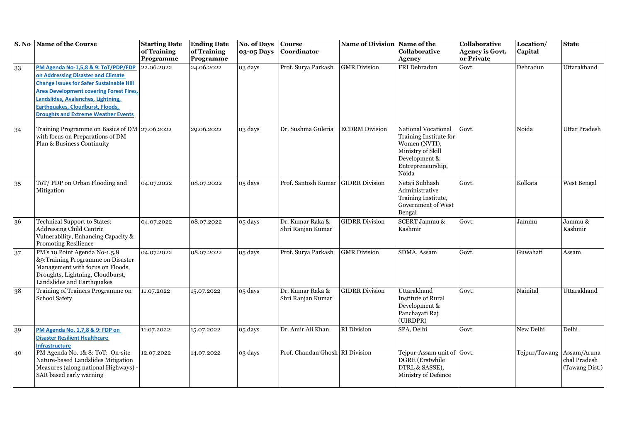| S. No | <b>Name of the Course</b>                                                                                                                                                                                                                                                                                     | <b>Starting Date</b><br>of Training | <b>Ending Date</b><br>of Training | <b>No. of Days</b><br>03-05 Days | <b>Course</b><br>Coordinator          | Name of Division Name of the | Collaborative                                                                                                                      | Collaborative<br><b>Agency is Govt.</b> | Location/<br>Capital | <b>State</b>                                  |
|-------|---------------------------------------------------------------------------------------------------------------------------------------------------------------------------------------------------------------------------------------------------------------------------------------------------------------|-------------------------------------|-----------------------------------|----------------------------------|---------------------------------------|------------------------------|------------------------------------------------------------------------------------------------------------------------------------|-----------------------------------------|----------------------|-----------------------------------------------|
|       |                                                                                                                                                                                                                                                                                                               | Programme                           | Programme                         |                                  |                                       |                              | <b>Agency</b>                                                                                                                      | or Private                              |                      |                                               |
| 33    | PM Agenda No-1,5,8 & 9: ToT/PDP/FDP<br>on Addressing Disaster and Climate<br><b>Change Issues for Safer Sustainable Hill</b><br><b>Area Development covering Forest Fires,</b><br>Landslides, Avalanches, Lightning,<br><b>Earthquakes, Cloudburst, Floods,</b><br><b>Droughts and Extreme Weather Events</b> | 22.06.2022                          | 24.06.2022                        | $\overline{0}3$ days             | Prof. Surya Parkash                   | <b>GMR</b> Division          | FRI Dehradun                                                                                                                       | Govt.                                   | Dehradun             | Uttarakhand                                   |
| 34    | Training Programme on Basics of DM 27.06.2022<br>with focus on Preparations of DM<br>Plan & Business Continuity                                                                                                                                                                                               |                                     | 29.06.2022                        | 03 days                          | Dr. Sushma Guleria                    | <b>ECDRM</b> Division        | National Vocational<br>Training Institute for<br>Women (NVTI),<br>Ministry of Skill<br>Development &<br>Entrepreneurship,<br>Noida | Govt.                                   | Noida                | <b>Uttar Pradesh</b>                          |
| 35    | ToT/PDP on Urban Flooding and<br>Mitigation                                                                                                                                                                                                                                                                   | 04.07.2022                          | 08.07.2022                        | 05 days                          | Prof. Santosh Kumar                   | <b>GIDRR</b> Division        | Netaji Subhash<br>Administrative<br>Training Institute,<br>Government of West<br>Bengal                                            | Govt.                                   | Kolkata              | <b>West Bengal</b>                            |
| 36    | Technical Support to States:<br>Addressing Child Centric<br>Vulnerability, Enhancing Capacity &<br><b>Promoting Resilience</b>                                                                                                                                                                                | 04.07.2022                          | 08.07.2022                        | 05 days                          | Dr. Kumar Raka &<br>Shri Ranjan Kumar | <b>GIDRR</b> Division        | <b>SCERT Jammu &amp;</b><br>Kashmir                                                                                                | Govt.                                   | Jammu                | Jammu &<br>Kashmir                            |
| 37    | PM's 10 Point Agenda No-1,5,8<br>&9:Training Programme on Disaster<br>Management with focus on Floods,<br>Droughts, Lightning, Cloudburst,<br>Landslides and Earthquakes                                                                                                                                      | 04.07.2022                          | 08.07.2022                        | 05 days                          | Prof. Surya Parkash                   | <b>GMR</b> Division          | SDMA, Assam                                                                                                                        | Govt.                                   | Guwahati             | Assam                                         |
| 38    | Training of Trainers Programme on<br>School Safety                                                                                                                                                                                                                                                            | 11.07.2022                          | 15.07.2022                        | 05 days                          | Dr. Kumar Raka &<br>Shri Ranjan Kumar | <b>GIDRR</b> Division        | Uttarakhand<br><b>Institute of Rural</b><br>Development &<br>Panchayati Raj<br>(UIRDPR)                                            | Govt.                                   | Nainital             | Uttarakhand                                   |
| 39    | PM Agenda No. 1,7,8 & 9: FDP on<br><b>Disaster Resilient Healthcare</b><br><b>Infrastructure</b>                                                                                                                                                                                                              | 11.07.2022                          | 15.07.2022                        | 05 days                          | Dr. Amir Ali Khan                     | <b>RI</b> Division           | SPA, Delhi                                                                                                                         | Govt.                                   | New Delhi            | Delhi                                         |
| 40    | PM Agenda No. 1& 8: ToT: On-site<br>Nature-based Landslides Mitigation<br>Measures (along national Highways) -<br>SAR based early warning                                                                                                                                                                     | 12.07.2022                          | 14.07.2022                        | 03 days                          | Prof. Chandan Ghosh RI Division       |                              | Tejpur-Assam unit of Govt.<br><b>DGRE</b> (Erstwhile<br>DTRL & SASSE),<br>Ministry of Defence                                      |                                         | Tejpur/Tawang        | Assam/Aruna<br>chal Pradesh<br>(Tawang Dist.) |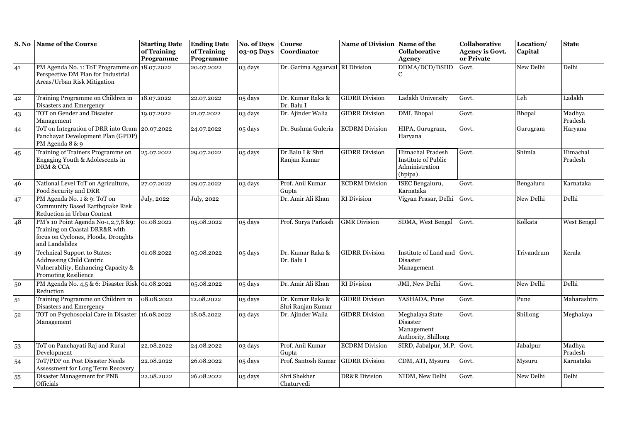| S. No          | Name of the Course                                                                                                             | <b>Starting Date</b><br>of Training<br>Programme | <b>Ending Date</b><br>of Training<br>Programme | <b>No. of Days</b><br>03-05 Days | <b>Course</b><br>Coordinator          | Name of Division Name of the | Collaborative<br><b>Agency</b>                                       | Collaborative<br><b>Agency is Govt.</b><br>or Private | Location/<br>Capital | <b>State</b>        |
|----------------|--------------------------------------------------------------------------------------------------------------------------------|--------------------------------------------------|------------------------------------------------|----------------------------------|---------------------------------------|------------------------------|----------------------------------------------------------------------|-------------------------------------------------------|----------------------|---------------------|
| 41             | PM Agenda No. 1: ToT Programme on 18.07.2022<br>Perspective DM Plan for Industrial<br>Areas/Urban Risk Mitigation              |                                                  | 20.07.2022                                     | 03 days                          | Dr. Garima Aggarwal RI Division       |                              | DDMA/DCD/DSIID                                                       | Govt.                                                 | New Delhi            | Delhi               |
| 42             | Training Programme on Children in<br>Disasters and Emergency                                                                   | 18.07.2022                                       | 22.07.2022                                     | 05 days                          | Dr. Kumar Raka &<br>Dr. Balu I        | <b>GIDRR</b> Division        | Ladakh University                                                    | Govt.                                                 | Leh                  | Ladakh              |
| 43             | TOT on Gender and Disaster<br>Management                                                                                       | 19.07.2022                                       | 21.07.2022                                     | 03 days                          | Dr. Ajinder Walia                     | <b>GIDRR</b> Division        | DMI, Bhopal                                                          | Govt.                                                 | Bhopal               | Madhya<br>Pradesh   |
| 44             | ToT on Integration of DRR into Gram 20.07.2022<br>Panchayat Development Plan (GPDP)<br>PM Agenda 8 & 9                         |                                                  | 24.07.2022                                     | 05 days                          | Dr. Sushma Guleria                    | <b>ECDRM</b> Division        | HIPA, Gurugram,<br>Haryana                                           | Govt.                                                 | Gurugram             | Haryana             |
| 45             | Training of Trainers Programme on<br>Engaging Youth & Adolescents in<br><b>DRM &amp; CCA</b>                                   | 25.07.2022                                       | 29.07.2022                                     | 05 days                          | Dr.Balu I & Shri<br>Ranjan Kumar      | <b>GIDRR Division</b>        | Himachal Pradesh<br>Institute of Public<br>Administration<br>(hpipa) | Govt.                                                 | Shimla               | Himachal<br>Pradesh |
| 46             | National Level ToT on Agriculture,<br>Food Security and DRR                                                                    | 27.07.2022                                       | 29.07.2022                                     | 03 days                          | Prof. Anil Kumar<br>Gupta             | <b>ECDRM</b> Division        | ISEC Bengaluru,<br>Karnataka                                         | Govt.                                                 | Bengaluru            | Karnataka           |
| 47             | PM Agenda No. 1 & 9: ToT on<br><b>Community Based Earthquake Risk</b><br>Reduction in Urban Context                            | July, 2022                                       | July, 2022                                     |                                  | Dr. Amir Ali Khan                     | <b>RI</b> Division           | Vigyan Prasar, Delhi Govt.                                           |                                                       | New Delhi            | Delhi               |
| 48             | PM's 10 Point Agenda No-1,2,7,8 &9:<br>Training on Coastal DRR&R with<br>focus on Cyclones, Floods, Droughts<br>and Landslides | 01.08.2022                                       | 05.08.2022                                     | 05 days                          | Prof. Surya Parkash                   | <b>GMR</b> Division          | SDMA, West Bengal                                                    | Govt.                                                 | Kolkata              | <b>West Bengal</b>  |
| 49             | Technical Support to States:<br>Addressing Child Centric<br>Vulnerability, Enhancing Capacity &<br><b>Promoting Resilience</b> | 01.08.2022                                       | 05.08.2022                                     | 05 days                          | Dr. Kumar Raka &<br>Dr. Balu I        | <b>GIDRR Division</b>        | Institute of Land and Govt.<br>Disaster<br>Management                |                                                       | Trivandrum           | Kerala              |
| 50             | PM Agenda No. 4,5 & 6: Disaster Risk 01.08.2022<br>Reduction                                                                   |                                                  | 05.08.2022                                     | 05 days                          | Dr. Amir Ali Khan                     | RI Division                  | <b>JMI</b> , New Delhi                                               | Govt.                                                 | New Delhi            | Delhi               |
| 51             | Training Programme on Children in<br>Disasters and Emergency                                                                   | 08.08.2022                                       | 12.08.2022                                     | 05 days                          | Dr. Kumar Raka &<br>Shri Ranjan Kumar | <b>GIDRR Division</b>        | YASHADA, Pune                                                        | Govt.                                                 | Pune                 | Maharashtra         |
| 5 <sup>2</sup> | TOT on Psychosocial Care in Disaster 16.08.2022<br>Management                                                                  |                                                  | 18.08.2022                                     | 03 days                          | Dr. Ajinder Walia                     | <b>GIDRR Division</b>        | Meghalaya State<br>Disaster<br>Management<br>Authority, Shillong     | Govt.                                                 | Shillong             | Meghalaya           |
| 53             | ToT on Panchayati Raj and Rural<br>Development                                                                                 | 22.08.2022                                       | 24.08.2022                                     | 03 days                          | Prof. Anil Kumar<br>Gupta             | <b>ECDRM</b> Division        | SIRD, Jabalpur, M.P. Govt.                                           |                                                       | Jabalpur             | Madhya<br>Pradesh   |
| 54             | ToT/PDP on Post Disaster Needs<br>Assessment for Long Term Recovery                                                            | 22.08.2022                                       | 26.08.2022                                     | 05 days                          | Prof. Santosh Kumar                   | <b>GIDRR</b> Division        | CDM, ATI, Mysuru                                                     | Govt.                                                 | Mysuru               | Karnataka           |
| 55             | Disaster Management for PNB<br>Officials                                                                                       | 22.08.2022                                       | 26.08.2022                                     | 05 days                          | Shri Shekher<br>Chaturvedi            | <b>DR&amp;R</b> Division     | NIDM, New Delhi                                                      | Govt.                                                 | New Delhi            | Delhi               |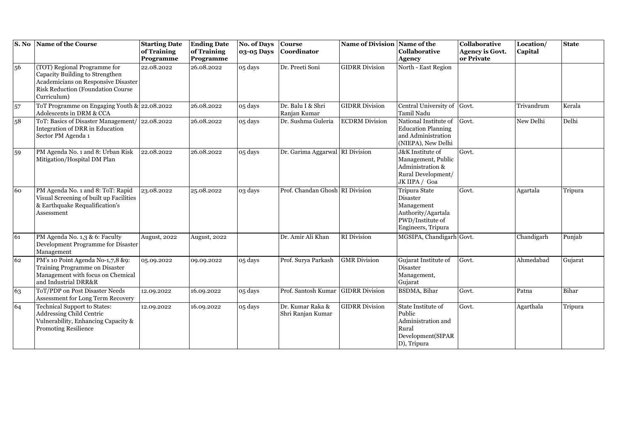| S. No | Name of the Course                                                                                                                                                 | <b>Starting Date</b><br>of Training<br>Programme | <b>Ending Date</b><br>of Training<br>Programme | <b>No. of Days</b><br>03-05 Days | <b>Course</b><br>Coordinator          | Name of Division Name of the | Collaborative<br><b>Agency</b>                                                                                 | <b>Collaborative</b><br><b>Agency is Govt.</b><br>or Private | Location/<br>Capital | <b>State</b> |
|-------|--------------------------------------------------------------------------------------------------------------------------------------------------------------------|--------------------------------------------------|------------------------------------------------|----------------------------------|---------------------------------------|------------------------------|----------------------------------------------------------------------------------------------------------------|--------------------------------------------------------------|----------------------|--------------|
| 56    | (TOT) Regional Programme for<br>Capacity Building to Strengthen<br>Academicians on Responsive Disaster<br><b>Risk Reduction (Foundation Course)</b><br>Curriculum) | 22.08.2022                                       | 26.08.2022                                     | 05 days                          | Dr. Preeti Soni                       | <b>GIDRR Division</b>        | North - East Region                                                                                            |                                                              |                      |              |
| 57    | ToT Programme on Engaging Youth & 22.08.2022<br>Adolescents in DRM & CCA                                                                                           |                                                  | 26.08.2022                                     | 05 days                          | Dr. Balu I & Shri<br>Ranjan Kumar     | <b>GIDRR Division</b>        | Central University of Govt.<br>Tamil Nadu                                                                      |                                                              | Trivandrum           | Kerala       |
| 58    | ToT: Basics of Disaster Management/ 22.08.2022<br>Integration of DRR in Education<br>Sector PM Agenda 1                                                            |                                                  | 26.08.2022                                     | 05 days                          | Dr. Sushma Guleria                    | <b>ECDRM</b> Division        | National Institute of<br><b>Education Planning</b><br>and Administration<br>(NIEPA), New Delhi                 | Govt.                                                        | New Delhi            | Delhi        |
| 59    | PM Agenda No. 1 and 8: Urban Risk<br>Mitigation/Hospital DM Plan                                                                                                   | 22.08.2022                                       | 26.08.2022                                     | 05 days                          | Dr. Garima Aggarwal RI Division       |                              | J&K Institute of<br>Management, Public<br>Administration &<br>Rural Development/<br>JK IIPA / Goa              | Govt.                                                        |                      |              |
| 60    | PM Agenda No. 1 and 8: ToT: Rapid<br>Visual Screening of built up Facilities<br>& Earthquake Requalification's<br>Assessment                                       | 23.08.2022                                       | 25.08.2022                                     | 03 days                          | Prof. Chandan Ghosh RI Division       |                              | Tripura State<br><b>Disaster</b><br>Management<br>Authority/Agartala<br>PWD/Institute of<br>Engineers, Tripura | Govt.                                                        | Agartala             | Tripura      |
| 61    | PM Agenda No. 1,3 & 6: Faculty<br>Development Programme for Disaster<br>Management                                                                                 | August, 2022                                     | <b>August, 2022</b>                            |                                  | Dr. Amir Ali Khan                     | <b>RI</b> Division           | MGSIPA, Chandigarh Govt.                                                                                       |                                                              | Chandigarh           | Punjab       |
| 62    | PM's 10 Point Agenda No-1,7,8 &9:<br>Training Programme on Disaster<br>Management with focus on Chemical<br>and Industrial DRR&R                                   | 05.09.2022                                       | 09.09.2022                                     | 05 days                          | Prof. Surya Parkash                   | <b>GMR</b> Division          | Gujarat Institute of<br><b>Disaster</b><br>Management,<br>Gujarat                                              | Govt.                                                        | Ahmedabad            | Gujarat      |
| 63    | ToT/PDP on Post Disaster Needs<br>Assessment for Long Term Recovery                                                                                                | 12.09.2022                                       | 16.09.2022                                     | 05 days                          | Prof. Santosh Kumar GIDRR Division    |                              | <b>BSDMA</b> , Bihar                                                                                           | Govt.                                                        | Patna                | Bihar        |
| 64    | Technical Support to States:<br>Addressing Child Centric<br>Vulnerability, Enhancing Capacity &<br><b>Promoting Resilience</b>                                     | 12.09.2022                                       | 16.09.2022                                     | 05 days                          | Dr. Kumar Raka &<br>Shri Ranjan Kumar | <b>GIDRR</b> Division        | State Institute of<br>Public<br>Administration and<br>Rural<br>Development(SIPAR<br>D), Tripura                | Govt.                                                        | Agarthala            | Tripura      |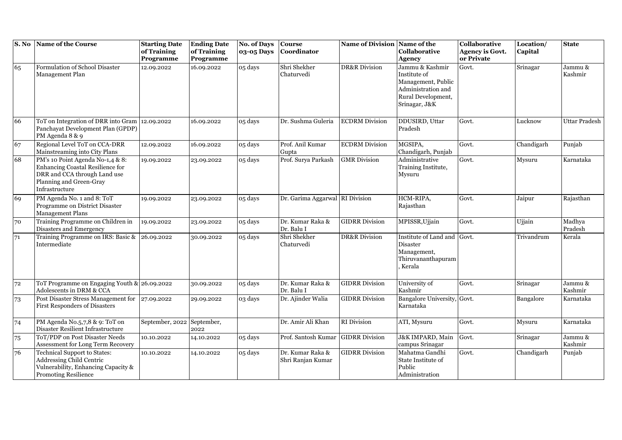|                 | S. No Name of the Course                                                                                                                          | <b>Starting Date</b><br>of Training<br>Programme | <b>Ending Date</b><br>of Training<br>Programme | <b>No. of Days</b><br>03-05 Days | <b>Course</b><br>Coordinator          | Name of Division Name of the | <b>Collaborative</b><br><b>Agency</b>                                                                              | Collaborative<br><b>Agency is Govt.</b><br>or Private | Location/<br>Capital | <b>State</b>       |
|-----------------|---------------------------------------------------------------------------------------------------------------------------------------------------|--------------------------------------------------|------------------------------------------------|----------------------------------|---------------------------------------|------------------------------|--------------------------------------------------------------------------------------------------------------------|-------------------------------------------------------|----------------------|--------------------|
| 65              | Formulation of School Disaster<br>Management Plan                                                                                                 | 12.09.2022                                       | 16.09.2022                                     | 05 days                          | Shri Shekher<br>Chaturvedi            | <b>DR&amp;R</b> Division     | Jammu & Kashmir<br>Institute of<br>Management, Public<br>Administration and<br>Rural Development,<br>Srinagar, J&K | Govt.                                                 | Srinagar             | Jammu &<br>Kashmir |
| 66              | ToT on Integration of DRR into Gram   12.09.2022<br>Panchayat Development Plan (GPDP)<br>PM Agenda 8 & 9                                          |                                                  | 16.09.2022                                     | 05 days                          | Dr. Sushma Guleria                    | <b>ECDRM</b> Division        | DDUSIRD, Uttar<br>Pradesh                                                                                          | Govt.                                                 | Lucknow              | Uttar Pradesh      |
| 67              | Regional Level ToT on CCA-DRR<br>Mainstreaming into City Plans                                                                                    | 12.09.2022                                       | 16.09.2022                                     | 05 days                          | Prof. Anil Kumar<br>Gupta             | <b>ECDRM</b> Division        | MGSIPA,<br>Chandigarh, Punjab                                                                                      | Govt.                                                 | Chandigarh           | Punjab             |
| 68              | PM's 10 Point Agenda No-1,4 & 8:<br>Enhancing Coastal Resilience for<br>DRR and CCA through Land use<br>Planning and Green-Gray<br>Infrastructure | 19.09.2022                                       | 23.09.2022                                     | 05 days                          | Prof. Surya Parkash                   | <b>GMR</b> Division          | Administrative<br>Training Institute,<br>Mysuru                                                                    | Govt.                                                 | Mysuru               | Karnataka          |
| 69              | PM Agenda No. 1 and 8: ToT<br>Programme on District Disaster<br><b>Management Plans</b>                                                           | 19.09.2022                                       | 23.09.2022                                     | 05 days                          | Dr. Garima Aggarwal RI Division       |                              | HCM-RIPA,<br>Rajasthan                                                                                             | Govt.                                                 | Jaipur               | Rajasthan          |
| 70              | Training Programme on Children in<br>Disasters and Emergency                                                                                      | 19.09.2022                                       | 23.09.2022                                     | 05 days                          | Dr. Kumar Raka &<br>Dr. Balu I        | <b>GIDRR Division</b>        | MPISSR, Ujjain                                                                                                     | Govt.                                                 | Ujjain               | Madhya<br>Pradesh  |
| $\overline{71}$ | Training Programme on IRS: Basic &<br>Intermediate                                                                                                | 26.09.2022                                       | 30.09.2022                                     | 05 days                          | Shri Shekher<br>Chaturvedi            | <b>DR&amp;R</b> Division     | Institute of Land and<br>Disaster<br>Management,<br>Thiruvananthapuram<br>Kerala                                   | Govt.                                                 | Trivandrum           | Kerala             |
| 72              | ToT Programme on Engaging Youth & 26.09.2022<br>Adolescents in DRM & CCA                                                                          |                                                  | 30.09.2022                                     | 05 days                          | Dr. Kumar Raka &<br>Dr. Balu I        | <b>GIDRR</b> Division        | University of<br>Kashmir                                                                                           | Govt.                                                 | Srinagar             | Jammu &<br>Kashmir |
| 73              | Post Disaster Stress Management for<br><b>First Responders of Disasters</b>                                                                       | 27.09.2022                                       | 29.09.2022                                     | 03 days                          | Dr. Ajinder Walia                     | <b>GIDRR</b> Division        | Bangalore University, Govt.<br>Karnataka                                                                           |                                                       | Bangalore            | Karnataka          |
| 74              | PM Agenda No.5,7,8 & 9: ToT on<br>Disaster Resilient Infrastructure                                                                               | September, 2022                                  | September,<br>2022                             |                                  | Dr. Amir Ali Khan                     | <b>RI</b> Division           | ATI, Mysuru                                                                                                        | Govt.                                                 | Mysuru               | Karnataka          |
| 75              | ToT/PDP on Post Disaster Needs<br>Assessment for Long Term Recovery                                                                               | 10.10.2022                                       | 14.10.2022                                     | 05 days                          | Prof. Santosh Kumar                   | <b>GIDRR</b> Division        | <b>J&amp;K IMPARD</b> , Main<br>campus Srinagar                                                                    | Govt.                                                 | Srinagar             | Jammu &<br>Kashmir |
| 76              | <b>Technical Support to States:</b><br>Addressing Child Centric<br>Vulnerability, Enhancing Capacity &<br><b>Promoting Resilience</b>             | 10.10.2022                                       | 14.10.2022                                     | 05 days                          | Dr. Kumar Raka &<br>Shri Ranjan Kumar | <b>GIDRR Division</b>        | Mahatma Gandhi<br>State Institute of<br>Public<br>Administration                                                   | Govt.                                                 | Chandigarh           | Punjab             |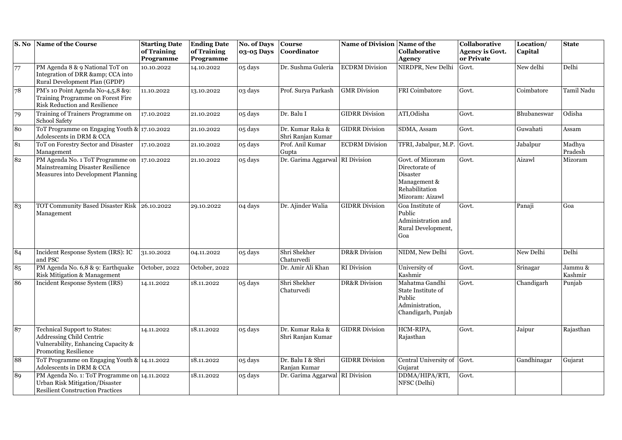| S. No | Name of the Course                                                                                                                           | <b>Starting Date</b><br>of Training | <b>Ending Date</b><br>of Training | <b>No. of Days</b><br>03-05 Days | <b>Course</b><br>Coordinator          | Name of Division Name of the | Collaborative                                                                                       | Collaborative<br><b>Agency is Govt.</b> | Location/<br>Capital | <b>State</b>       |
|-------|----------------------------------------------------------------------------------------------------------------------------------------------|-------------------------------------|-----------------------------------|----------------------------------|---------------------------------------|------------------------------|-----------------------------------------------------------------------------------------------------|-----------------------------------------|----------------------|--------------------|
|       |                                                                                                                                              | Programme                           | Programme                         |                                  |                                       |                              | <b>Agency</b>                                                                                       | or Private                              |                      |                    |
| 77    | PM Agenda 8 & 9 National ToT on<br>Integration of DRR & CCA into<br>Rural Development Plan (GPDP)                                            | 10.10.2022                          | 14.10.2022                        | 05 days                          | Dr. Sushma Guleria                    | <b>ECDRM</b> Division        | NIRDPR, New Delhi                                                                                   | Govt.                                   | New delhi            | Delhi              |
| 78    | PM's 10 Point Agenda No-4,5,8 &9:<br>Training Programme on Forest Fire<br><b>Risk Reduction and Resilience</b>                               | 11.10.2022                          | 13.10.2022                        | 03 days                          | Prof. Surya Parkash                   | <b>GMR</b> Division          | <b>FRI</b> Coimbatore                                                                               | Govt.                                   | Coimbatore           | Tamil Nadu         |
| 79    | Training of Trainers Programme on<br>School Safety                                                                                           | 17.10.2022                          | 21.10.2022                        | 05 days                          | Dr. Balu I                            | <b>GIDRR Division</b>        | ATI, Odisha                                                                                         | Govt.                                   | Bhubaneswar          | Odisha             |
| 80    | ToT Programme on Engaging Youth & 17.10.2022<br>Adolescents in DRM & CCA                                                                     |                                     | 21.10.2022                        | 05 days                          | Dr. Kumar Raka &<br>Shri Ranjan Kumar | <b>GIDRR</b> Division        | SDMA, Assam                                                                                         | Govt.                                   | Guwahati             | Assam              |
| 81    | ToT on Forestry Sector and Disaster<br>Management                                                                                            | 17.10.2022                          | 21.10.2022                        | 05 days                          | Prof. Anil Kumar<br>Gupta             | <b>ECDRM</b> Division        | TFRI, Jabalpur, M.P.                                                                                | Govt.                                   | Jabalpur             | Madhya<br>Pradesh  |
| 82    | PM Agenda No. 1 ToT Programme on 17.10.2022<br>Mainstreaming Disaster Resilience<br>Measures into Development Planning                       |                                     | 21.10.2022                        | 05 days                          | Dr. Garima Aggarwal RI Division       |                              | Govt. of Mizoram<br>Directorate of<br>Disaster<br>Management &<br>Rehabilitation<br>Mizoram: Aizawl | Govt.                                   | Aizawl               | Mizoram            |
| 83    | TOT Community Based Disaster Risk 26.10.2022<br>Management                                                                                   |                                     | 29.10.2022                        | 04 days                          | Dr. Ajinder Walia                     | <b>GIDRR Division</b>        | Goa Institute of<br>Public<br>Administration and<br>Rural Development,<br>Goa                       | Govt.                                   | Panaji               | Goa                |
| 84    | Incident Response System (IRS): IC<br>and PSC                                                                                                | 31.10.2022                          | 04.11.2022                        | 05 days                          | Shri Shekher<br>Chaturvedi            | <b>DR&amp;R</b> Division     | NIDM, New Delhi                                                                                     | Govt.                                   | New Delhi            | Delhi              |
| 85    | PM Agenda No. 6,8 & 9: Earthquake<br>Risk Mitigation & Management                                                                            | October, 2022                       | October, 2022                     |                                  | Dr. Amir Ali Khan                     | <b>RI</b> Division           | University of<br>Kashmir                                                                            | Govt.                                   | Srinagar             | Jammu &<br>Kashmir |
| 86    | <b>Incident Response System (IRS)</b>                                                                                                        | 14.11.2022                          | 18.11.2022                        | 05 days                          | Shri Shekher<br>Chaturvedi            | <b>DR&amp;R</b> Division     | Mahatma Gandhi<br>State Institute of<br>Public<br>Administration,<br>Chandigarh, Punjab             | Govt.                                   | Chandigarh           | Punjab             |
| 87    | <b>Technical Support to States:</b><br><b>Addressing Child Centric</b><br>Vulnerability, Enhancing Capacity &<br><b>Promoting Resilience</b> | 14.11.2022                          | 18.11.2022                        | 05 days                          | Dr. Kumar Raka &<br>Shri Ranjan Kumar | <b>GIDRR Division</b>        | HCM-RIPA,<br>Rajasthan                                                                              | Govt.                                   | Jaipur               | Rajasthan          |
| 88    | ToT Programme on Engaging Youth & 14.11.2022<br>Adolescents in DRM & CCA                                                                     |                                     | 18.11.2022                        | 05 days                          | Dr. Balu I & Shri<br>Ranjan Kumar     | <b>GIDRR</b> Division        | Central University of<br>Gujarat                                                                    | Govt.                                   | Gandhinagar          | Gujarat            |
| 89    | PM Agenda No. 1: ToT Programme on 14.11.2022<br>Urban Risk Mitigation/Disaster<br><b>Resilient Construction Practices</b>                    |                                     | 18.11.2022                        | 05 days                          | Dr. Garima Aggarwal RI Division       |                              | DDMA/HIPA/RTI,<br>NFSC (Delhi)                                                                      | Govt.                                   |                      |                    |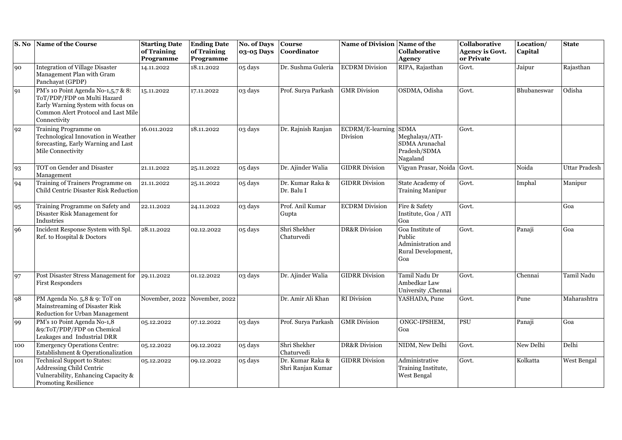| S. No | Name of the Course                                                                                                                                             | <b>Starting Date</b><br>of Training<br>Programme | <b>Ending Date</b><br>of Training<br>Programme | <b>No. of Days</b><br>03-05 Days | <b>Course</b><br>Coordinator          | Name of Division Name of the | Collaborative<br><b>Agency</b>                                                | Collaborative<br><b>Agency is Govt.</b><br>or Private | Location/<br>Capital | <b>State</b>         |
|-------|----------------------------------------------------------------------------------------------------------------------------------------------------------------|--------------------------------------------------|------------------------------------------------|----------------------------------|---------------------------------------|------------------------------|-------------------------------------------------------------------------------|-------------------------------------------------------|----------------------|----------------------|
| 90    | <b>Integration of Village Disaster</b><br>Management Plan with Gram<br>Panchayat (GPDP)                                                                        | 14.11.2022                                       | 18.11.2022                                     | 05 days                          | Dr. Sushma Guleria                    | <b>ECDRM</b> Division        | RIPA, Rajasthan                                                               | Govt.                                                 | Jaipur               | Rajasthan            |
| 91    | PM's 10 Point Agenda No-1,5,7 & 8:<br>ToT/PDP/FDP on Multi Hazard<br>Early Warning System with focus on<br>Common Alert Protocol and Last Mile<br>Connectivity | 15.11.2022                                       | 17.11.2022                                     | 03 days                          | Prof. Surya Parkash                   | <b>GMR</b> Division          | OSDMA, Odisha                                                                 | Govt.                                                 | Bhubaneswar          | Odisha               |
| 92    | Training Programme on<br>Technological Innovation in Weather<br>forecasting, Early Warning and Last<br>Mile Connectivity                                       | 16.011.2022                                      | 18.11.2022                                     | 03 days                          | Dr. Rajnish Ranjan                    | ECDRM/E-learning<br>Division | <b>SDMA</b><br>Meghalaya/ATI-<br>SDMA Arunachal<br>Pradesh/SDMA<br>Nagaland   | Govt.                                                 |                      |                      |
| 93    | TOT on Gender and Disaster<br>Management                                                                                                                       | 21.11.2022                                       | 25.11.2022                                     | 05 days                          | Dr. Ajinder Walia                     | <b>GIDRR Division</b>        | Vigyan Prasar, Noida Govt.                                                    |                                                       | Noida                | <b>Uttar Pradesh</b> |
| 94    | Training of Trainers Programme on<br>Child Centric Disaster Risk Reduction                                                                                     | 21.11.2022                                       | 25.11.2022                                     | 05 days                          | Dr. Kumar Raka &<br>Dr. Balu I        | <b>GIDRR</b> Division        | State Academy of<br><b>Training Manipur</b>                                   | Govt.                                                 | Imphal               | Manipur              |
| 95    | Training Programme on Safety and<br>Disaster Risk Management for<br>Industries                                                                                 | 22.11.2022                                       | 24.11.2022                                     | 03 days                          | Prof. Anil Kumar<br>Gupta             | <b>ECDRM</b> Division        | Fire & Safety<br>Institute, Goa / ATI<br>Goa                                  | Govt.                                                 |                      | Goa                  |
| 96    | Incident Response System with Spl.<br>Ref. to Hospital & Doctors                                                                                               | 28.11.2022                                       | 02.12.2022                                     | 05 days                          | Shri Shekher<br>Chaturvedi            | <b>DR&amp;R</b> Division     | Goa Institute of<br>Public<br>Administration and<br>Rural Development,<br>Goa | Govt.                                                 | Panaji               | Goa                  |
| 97    | Post Disaster Stress Management for<br><b>First Responders</b>                                                                                                 | 29.11.2022                                       | 01.12.2022                                     | 03 days                          | Dr. Ajinder Walia                     | <b>GIDRR Division</b>        | Tamil Nadu Dr<br>Ambedkar Law<br>University, Chennai                          | Govt.                                                 | Chennai              | Tamil Nadu           |
| 98    | PM Agenda No. 5,8 & 9: ToT on<br>Mainstreaming of Disaster Risk<br>Reduction for Urban Management                                                              | November, 2022                                   | November, 2022                                 |                                  | Dr. Amir Ali Khan                     | RI Division                  | YASHADA, Pune                                                                 | Govt.                                                 | Pune                 | Maharashtra          |
| 99    | PM's 10 Point Agenda No-1,8<br>&9:ToT/PDP/FDP on Chemical<br>Leakages and Industrial DRR                                                                       | 05.12.2022                                       | 07.12.2022                                     | 03 days                          | Prof. Surya Parkash                   | <b>GMR</b> Division          | ONGC-IPSHEM,<br>Goa                                                           | PSU                                                   | Panaji               | Goa                  |
| 100   | <b>Emergency Operations Centre:</b><br>Establishment & Operationalization                                                                                      | 05.12.2022                                       | 09.12.2022                                     | 05 days                          | Shri Shekher<br>Chaturvedi            | <b>DR&amp;R</b> Division     | NIDM, New Delhi                                                               | Govt.                                                 | New Delhi            | Delhi                |
| 101   | <b>Technical Support to States:</b><br><b>Addressing Child Centric</b><br>Vulnerability, Enhancing Capacity &<br><b>Promoting Resilience</b>                   | 05.12.2022                                       | 09.12.2022                                     | 05 days                          | Dr. Kumar Raka &<br>Shri Ranjan Kumar | <b>GIDRR Division</b>        | Administrative<br>Training Institute,<br>West Bengal                          | Govt.                                                 | Kolkatta             | West Bengal          |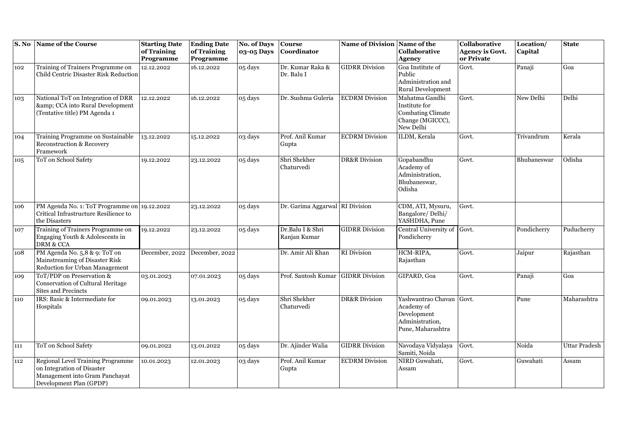| S. No | Name of the Course                                                                                                           | <b>Starting Date</b><br>of Training<br>Programme | <b>Ending Date</b><br>of Training<br>Programme | <b>No. of Days</b><br>03-05 Days | <b>Course</b><br>Coordinator       | Name of Division Name of the | Collaborative<br>Agency                                                                      | Collaborative<br><b>Agency is Govt.</b><br>or Private | Location/<br>Capital | <b>State</b>  |
|-------|------------------------------------------------------------------------------------------------------------------------------|--------------------------------------------------|------------------------------------------------|----------------------------------|------------------------------------|------------------------------|----------------------------------------------------------------------------------------------|-------------------------------------------------------|----------------------|---------------|
| 102   | Training of Trainers Programme on<br>Child Centric Disaster Risk Reduction                                                   | 12.12.2022                                       | 16.12.2022                                     | 05 days                          | Dr. Kumar Raka &<br>Dr. Balu I     | <b>GIDRR</b> Division        | Goa Institute of<br>Public<br>Administration and<br>Rural Development                        | Govt.                                                 | Panaji               | Goa           |
| 103   | National ToT on Integration of DRR<br>& CCA into Rural Development<br>(Tentative title) PM Agenda 1                          | 12.12.2022                                       | 16.12.2022                                     | 05 days                          | Dr. Sushma Guleria                 | <b>ECDRM</b> Division        | Mahatma Gandhi<br>Institute for<br><b>Combating Climate</b><br>Change (MGICCC),<br>New Delhi | Govt.                                                 | New Delhi            | Delhi         |
| 104   | Training Programme on Sustainable<br>Reconstruction & Recovery<br>Framework                                                  | 13.12.2022                                       | 15.12.2022                                     | $\overline{0}3$ days             | Prof. Anil Kumar<br>Gupta          | <b>ECDRM</b> Division        | ILDM, Kerala                                                                                 | Govt.                                                 | Trivandrum           | Kerala        |
| 105   | ToT on School Safety                                                                                                         | 19.12.2022                                       | 23.12.2022                                     | 05 days                          | Shri Shekher<br>Chaturvedi         | <b>DR&amp;R</b> Division     | Gopabandhu<br>Academy of<br>Administration,<br>Bhubaneswar,<br>Odisha                        | Govt.                                                 | Bhubaneswar          | Odisha        |
| 106   | PM Agenda No. 1: ToT Programme on 19.12.2022<br>Critical Infrastructure Resilience to<br>the Disasters                       |                                                  | 23.12.2022                                     | 05 days                          | Dr. Garima Aggarwal RI Division    |                              | CDM, ATI, Mysuru,<br>Bangalore/Delhi/<br>YASHDHA, Pune                                       | Govt.                                                 |                      |               |
| 107   | Training of Trainers Programme on<br>Engaging Youth & Adolescents in<br>DRM & CCA                                            | 19.12.2022                                       | 23.12.2022                                     | 05 days                          | Dr.Balu I & Shri<br>Ranjan Kumar   | <b>GIDRR</b> Division        | Central University of Govt.<br>Pondicherry                                                   |                                                       | Pondicherry          | Puducherry    |
| 108   | PM Agenda No. 5,8 & 9: ToT on<br>Mainstreaming of Disaster Risk<br>Reduction for Urban Management                            | December, 2022                                   | December, 2022                                 |                                  | Dr. Amir Ali Khan                  | RI Division                  | HCM-RIPA,<br>Rajasthan                                                                       | Govt.                                                 | Jaipur               | Rajasthan     |
| 109   | ToT/PDP on Preservation &<br>Conservation of Cultural Heritage<br>Sites and Precincts                                        | 03.01.2023                                       | 07.01.2023                                     | 05 days                          | Prof. Santosh Kumar GIDRR Division |                              | GIPARD, Goa                                                                                  | Govt.                                                 | Panaji               | Goa           |
| 110   | IRS: Basic & Intermediate for<br>Hospitals                                                                                   | 09.01.2023                                       | 13.01.2023                                     | 05 days                          | Shri Shekher<br>Chaturvedi         | <b>DR&amp;R</b> Division     | Yashwantrao Chavan<br>Academy of<br>Development<br>Administration,<br>Pune, Maharashtra      | Govt.                                                 | Pune                 | Maharashtra   |
| 111   | ToT on School Safety                                                                                                         | 09.01.2022                                       | 13.01.2022                                     | 05 days                          | Dr. Ajinder Walia                  | <b>GIDRR</b> Division        | Navodaya Vidyalaya<br>Samiti, Noida                                                          | Govt.                                                 | Noida                | Uttar Pradesh |
| 112   | Regional Level Training Programme<br>on Integration of Disaster<br>Management into Gram Panchayat<br>Development Plan (GPDP) | 10.01.2023                                       | 12.01.2023                                     | 03 days                          | Prof. Anil Kumar<br>Gupta          | <b>ECDRM</b> Division        | NIRD Guwahati,<br>Assam                                                                      | Govt.                                                 | Guwahati             | Assam         |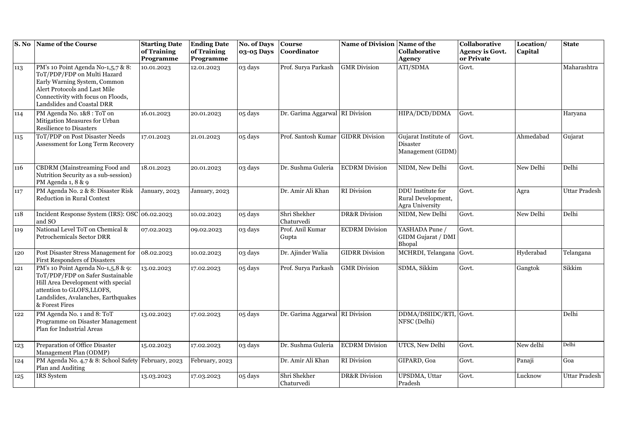| S. No | Name of the Course                                                                                                                                                                                     | <b>Starting Date</b><br>of Training | <b>Ending Date</b><br>of Training | <b>No. of Days</b><br>03-05 Days | <b>Course</b><br>Coordinator       | Name of Division Name of the | Collaborative                                              | Collaborative<br><b>Agency is Govt.</b> | Location/<br>Capital | <b>State</b>         |
|-------|--------------------------------------------------------------------------------------------------------------------------------------------------------------------------------------------------------|-------------------------------------|-----------------------------------|----------------------------------|------------------------------------|------------------------------|------------------------------------------------------------|-----------------------------------------|----------------------|----------------------|
|       |                                                                                                                                                                                                        | Programme                           | Programme                         |                                  |                                    |                              | <b>Agency</b>                                              | or Private                              |                      |                      |
| 113   | PM's 10 Point Agenda No-1,5,7 & 8:<br>ToT/PDP/FDP on Multi Hazard<br>Early Warning System, Common<br>Alert Protocols and Last Mile<br>Connectivity with focus on Floods,<br>Landslides and Coastal DRR | 10.01.2023                          | 12.01.2023                        | 03 days                          | Prof. Surya Parkash                | <b>GMR</b> Division          | ATI/SDMA                                                   | Govt.                                   |                      | Maharashtra          |
| 114   | PM Agenda No. 1&8: ToT on<br>Mitigation Measures for Urban<br><b>Resilience to Disasters</b>                                                                                                           | 16.01.2023                          | 20.01.2023                        | 05 days                          | Dr. Garima Aggarwal RI Division    |                              | HIPA/DCD/DDMA                                              | Govt.                                   |                      | Haryana              |
| 115   | ToT/PDP on Post Disaster Needs<br>Assessment for Long Term Recovery                                                                                                                                    | 17.01.2023                          | 21.01.2023                        | 05 days                          | Prof. Santosh Kumar GIDRR Division |                              | Gujarat Institute of<br>Disaster<br>Management (GIDM)      | Govt.                                   | Ahmedabad            | Gujarat              |
| 116   | CBDRM (Mainstreaming Food and<br>Nutrition Security as a sub-session)<br>PM Agenda 1, 8 & 9                                                                                                            | 18.01.2023                          | 20.01.2023                        | 03 days                          | Dr. Sushma Guleria                 | <b>ECDRM</b> Division        | NIDM, New Delhi                                            | Govt.                                   | New Delhi            | Delhi                |
| 117   | PM Agenda No. 2 & 8: Disaster Risk<br><b>Reduction in Rural Context</b>                                                                                                                                | January, 2023                       | January, 2023                     |                                  | Dr. Amir Ali Khan                  | RI Division                  | DDU Institute for<br>Rural Development,<br>Agra University | Govt.                                   | Agra                 | Uttar Pradesh        |
| 118   | Incident Response System (IRS): OSC 06.02.2023<br>and SO                                                                                                                                               |                                     | 10.02.2023                        | 05 days                          | Shri Shekher<br>Chaturvedi         | <b>DR&amp;R</b> Division     | NIDM, New Delhi                                            | Govt.                                   | New Delhi            | Delhi                |
| 119   | National Level ToT on Chemical &<br>Petrochemicals Sector DRR                                                                                                                                          | 07.02.2023                          | 09.02.2023                        | 03 days                          | Prof. Anil Kumar<br>Gupta          | <b>ECDRM</b> Division        | YASHADA Pune /<br>GIDM Gujarat / DMI<br>Bhopal             | Govt.                                   |                      |                      |
| 120   | Post Disaster Stress Management for<br><b>First Responders of Disasters</b>                                                                                                                            | 08.02.2023                          | 10.02.2023                        | 03 days                          | Dr. Ajinder Walia                  | <b>GIDRR</b> Division        | MCHRDI, Telangana Govt.                                    |                                         | Hyderabad            | Telangana            |
| 121   | PM's 10 Point Agenda No-1,5,8 & 9:<br>ToT/PDP/FDP on Safer Sustainable<br>Hill Area Development with special<br>attention to GLOFS, LLOFS,<br>Landslides, Avalanches, Earthquakes<br>& Forest Fires    | 13.02.2023                          | 17.02.2023                        | 05 days                          | Prof. Surya Parkash                | <b>GMR</b> Division          | SDMA, Sikkim                                               | Govt.                                   | Gangtok              | Sikkim               |
| 122   | PM Agenda No. 1 and 8: ToT<br>Programme on Disaster Management<br>Plan for Industrial Areas                                                                                                            | 13.02.2023                          | 17.02.2023                        | 05 days                          | Dr. Garima Aggarwal RI Division    |                              | DDMA/DSIIDC/RTI, Govt.<br>NFSC (Delhi)                     |                                         |                      | Delhi                |
| 123   | Preparation of Office Disaster<br>Management Plan (ODMP)                                                                                                                                               | 15.02.2023                          | 17.02.2023                        | 03 days                          | Dr. Sushma Guleria                 | <b>ECDRM</b> Division        | UTCS, New Delhi                                            | Govt.                                   | New delhi            | Delhi                |
| 124   | PM Agenda No. 4,7 & 8: School Safety February, 2023<br>Plan and Auditing                                                                                                                               |                                     | February, 2023                    |                                  | Dr. Amir Ali Khan                  | RI Division                  | GIPARD, Goa                                                | Govt.                                   | Panaji               | Goa                  |
| 125   | IRS System                                                                                                                                                                                             | 13.03.2023                          | 17.03.2023                        | 05 days                          | Shri Shekher<br>Chaturvedi         | <b>DR&amp;R</b> Division     | UPSDMA, Uttar<br>Pradesh                                   | Govt.                                   | Lucknow              | <b>Uttar Pradesh</b> |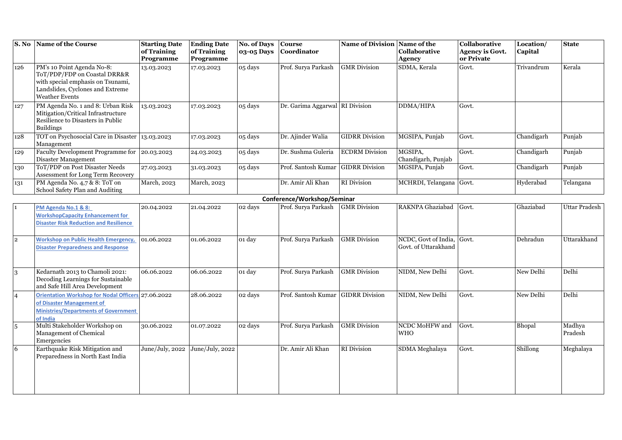| S. No          | Name of the Course                                                                                                                                    | <b>Starting Date</b><br>of Training<br>Programme | <b>Ending Date</b><br>of Training<br>Programme | No. of Days<br>03-05 Days | <b>Course</b><br><b>Coordinator</b> | Name of Division Name of the | Collaborative<br><b>Agency</b>               | Collaborative<br><b>Agency is Govt.</b><br>or Private | Location/<br>Capital | <b>State</b>         |
|----------------|-------------------------------------------------------------------------------------------------------------------------------------------------------|--------------------------------------------------|------------------------------------------------|---------------------------|-------------------------------------|------------------------------|----------------------------------------------|-------------------------------------------------------|----------------------|----------------------|
| 126            | PM's 10 Point Agenda No-8:<br>ToT/PDP/FDP on Coastal DRR&R<br>with special emphasis on Tsunami,<br>Landslides, Cyclones and Extreme<br>Weather Events | 13.03.2023                                       | 17.03.2023                                     | 05 days                   | Prof. Surya Parkash                 | <b>GMR</b> Division          | SDMA, Kerala                                 | Govt.                                                 | Trivandrum           | Kerala               |
| 127            | PM Agenda No. 1 and 8: Urban Risk<br>Mitigation/Critical Infrastructure<br>Resilience to Disasters in Public<br><b>Buildings</b>                      | 13.03.2023                                       | 17.03.2023                                     | 05 days                   | Dr. Garima Aggarwal RI Division     |                              | DDMA/HIPA                                    | Govt.                                                 |                      |                      |
| 128            | TOT on Psychosocial Care in Disaster 13.03.2023<br>Management                                                                                         |                                                  | 17.03.2023                                     | 05 days                   | Dr. Ajinder Walia                   | <b>GIDRR Division</b>        | MGSIPA, Punjab                               | Govt.                                                 | Chandigarh           | Punjab               |
| 129            | Faculty Development Programme for 20.03.2023<br>Disaster Management                                                                                   |                                                  | 24.03.2023                                     | 05 days                   | Dr. Sushma Guleria                  | <b>ECDRM</b> Division        | MGSIPA,<br>Chandigarh, Punjab                | Govt.                                                 | Chandigarh           | Punjab               |
| 130            | ToT/PDP on Post Disaster Needs<br>Assessment for Long Term Recovery                                                                                   | 27.03.2023                                       | 31.03.2023                                     | 05 days                   | Prof. Santosh Kumar                 | <b>GIDRR</b> Division        | MGSIPA, Punjab                               | Govt.                                                 | Chandigarh           | Punjab               |
| 131            | PM Agenda No. 4,7 & 8: ToT on<br>School Safety Plan and Auditing                                                                                      | March, 2023                                      | March, 2023                                    |                           | Dr. Amir Ali Khan                   | <b>RI</b> Division           | MCHRDI, Telangana                            | Govt.                                                 | Hyderabad            | Telangana            |
|                |                                                                                                                                                       |                                                  |                                                |                           | Conference/Workshop/Seminar         |                              |                                              |                                                       |                      |                      |
| $\mathbf{1}$   | PM Agenda No.1 & 8:<br><b>WorkshopCapacity Enhancement for</b><br><b>Disaster Risk Reduction and Resilience</b>                                       | 20.04.2022                                       | 21.04.2022                                     | 02 days                   | Prof. Surya Parkash                 | <b>GMR</b> Division          | RAKNPA Ghaziabad                             | Govt.                                                 | Ghaziabad            | <b>Uttar Pradesh</b> |
| $\overline{2}$ | <b>Workshop on Public Health Emergency,</b><br><b>Disaster Preparedness and Response</b>                                                              | 01.06.2022                                       | 01.06.2022                                     | 01 day                    | Prof. Surya Parkash                 | <b>GMR</b> Division          | NCDC, Govt of India,<br>Govt. of Uttarakhand | Govt.                                                 | Dehradun             | Uttarakhand          |
| 3              | Kedarnath 2013 to Chamoli 2021:<br>Decoding Learnings for Sustainable<br>and Safe Hill Area Development                                               | 06.06.2022                                       | 06.06.2022                                     | 01 day                    | Prof. Surya Parkash                 | <b>GMR</b> Division          | NIDM, New Delhi                              | Govt.                                                 | New Delhi            | Delhi                |
| $\overline{4}$ | Orientation Workshop for Nodal Officers 27.06.2022<br>of Disaster Management of<br><b>Ministries/Departments of Government</b><br>of India            |                                                  | 28.06.2022                                     | 02 days                   | Prof. Santosh Kumar                 | <b>GIDRR Division</b>        | NIDM, New Delhi                              | Govt.                                                 | New Delhi            | Delhi                |
| $\overline{5}$ | Multi Stakeholder Workshop on<br>Management of Chemical<br>Emergencies                                                                                | 30.06.2022                                       | 01.07.2022                                     | 02 days                   | Prof. Surya Parkash                 | <b>GMR</b> Division          | NCDC MoHFW and<br><b>WHO</b>                 | Govt.                                                 | Bhopal               | Madhya<br>Pradesh    |
| 6              | Earthquake Risk Mitigation and<br>Preparedness in North East India                                                                                    | June/July, 2022                                  | June/July, 2022                                |                           | Dr. Amir Ali Khan                   | RI Division                  | SDMA Meghalaya                               | Govt.                                                 | Shillong             | Meghalaya            |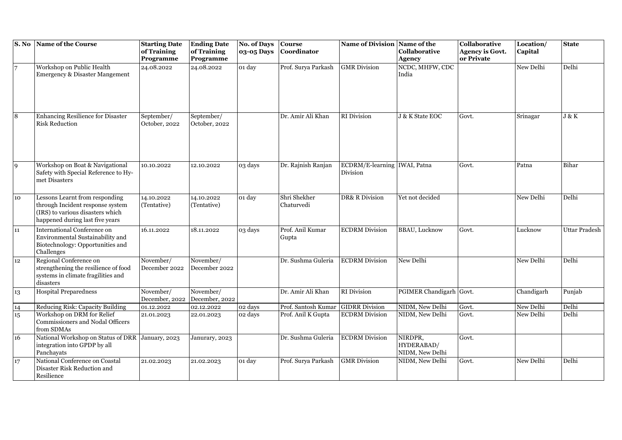|                  | S. No Name of the Course                                                                                                                  | <b>Starting Date</b><br>of Training<br>Programme | <b>Ending Date</b><br>of Training<br>Programme | No. of Days Course<br>03-05 Days | Coordinator                | Name of Division Name of the               | Collaborative<br><b>Agency</b>           | Collaborative<br><b>Agency is Govt.</b><br>or Private | Location/<br>Capital | <b>State</b>  |
|------------------|-------------------------------------------------------------------------------------------------------------------------------------------|--------------------------------------------------|------------------------------------------------|----------------------------------|----------------------------|--------------------------------------------|------------------------------------------|-------------------------------------------------------|----------------------|---------------|
|                  | Workshop on Public Health<br>Emergency & Disaster Mangement                                                                               | 24.08.2022                                       | 24.08.2022                                     | 01 day                           | Prof. Surya Parkash        | <b>GMR</b> Division                        | NCDC, MHFW, CDC<br>India                 |                                                       | New Delhi            | Delhi         |
|                  | Enhancing Resilience for Disaster<br><b>Risk Reduction</b>                                                                                | September/<br>October, 2022                      | September/<br>October, 2022                    |                                  | Dr. Amir Ali Khan          | <b>RI</b> Division                         | J & K State EOC                          | Govt.                                                 | Srinagar             | J & K         |
| 9                | Workshop on Boat & Navigational<br>Safety with Special Reference to Hy-<br>met Disasters                                                  | 10.10.2022                                       | 12.10.2022                                     | 03 days                          | Dr. Rajnish Ranjan         | ECDRM/E-learning   IWAI, Patna<br>Division |                                          | Govt.                                                 | Patna                | Bihar         |
| 10               | Lessons Learnt from responding<br>through Incident response system<br>(IRS) to various disasters which<br>happened during last five years | 14.10.2022<br>(Tentative)                        | 14.10.2022<br>(Tentative)                      | 01 day                           | Shri Shekher<br>Chaturvedi | DR& R Division                             | Yet not decided                          |                                                       | New Delhi            | Delhi         |
| 11               | International Conference on<br>Environmental Sustainability and<br>Biotechnology: Opportunities and<br>Challenges                         | 16.11.2022                                       | 18.11.2022                                     | 03 days                          | Prof. Anil Kumar<br>Gupta  | <b>ECDRM</b> Division                      | <b>BBAU, Lucknow</b>                     | Govt.                                                 | Lucknow              | Uttar Pradesh |
| 12               | Regional Conference on<br>strengthening the resilience of food<br>systems in climate fragilities and<br>disasters                         | November/<br>December 2022                       | November/<br>December 2022                     |                                  | Dr. Sushma Guleria         | <b>ECDRM</b> Division                      | New Delhi                                |                                                       | New Delhi            | Delhi         |
| 13               | <b>Hospital Preparedness</b>                                                                                                              | November/<br>December, 2022                      | November/<br>December, 2022                    |                                  | Dr. Amir Ali Khan          | <b>RI</b> Division                         | PGIMER Chandigarh Govt.                  |                                                       | Chandigarh           | Punjab        |
| 14               | Reducing Risk: Capacity Building                                                                                                          | 01.12.2022                                       | 02.12.2022                                     | 02 days                          | Prof. Santosh Kumar        | <b>GIDRR</b> Division                      | NIDM, New Delhi                          | Govt.                                                 | New Delhi            | Delhi         |
| $15\overline{)}$ | Workshop on DRM for Relief<br>Commissioners and Nodal Officers<br>from SDMAs                                                              | 21.01.2023                                       | 22.01.2023                                     | 02 days                          | Prof. Anil K Gupta         | <b>ECDRM</b> Division                      | NIDM, New Delhi                          | Govt.                                                 | New Delhi            | Delhi         |
| 16               | National Workshop on Status of DRR<br>integration into GPDP by all<br>Panchayats                                                          | January, 2023                                    | Janurary, 2023                                 |                                  | Dr. Sushma Guleria         | <b>ECDRM</b> Division                      | NIRDPR,<br>HYDERABAD/<br>NIDM, New Delhi | Govt.                                                 |                      |               |
| 17               | National Conference on Coastal<br>Disaster Risk Reduction and<br>Resilience                                                               | 21.02.2023                                       | 21.02.2023                                     | 01 day                           | Prof. Surya Parkash        | <b>GMR</b> Division                        | NIDM, New Delhi                          | Govt.                                                 | New Delhi            | Delhi         |